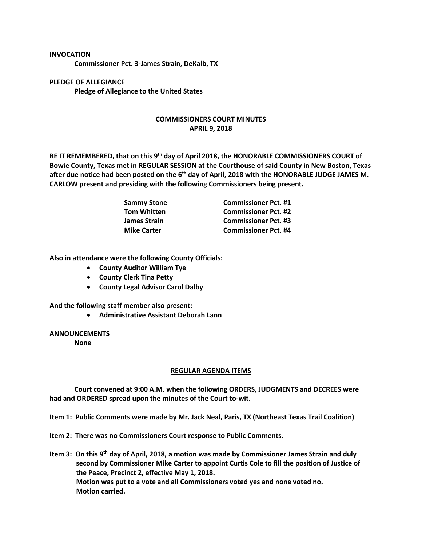## **INVOCATION**

**Commissioner Pct. 3-James Strain, DeKalb, TX**

**PLEDGE OF ALLEGIANCE Pledge of Allegiance to the United States**

## **COMMISSIONERS COURT MINUTES APRIL 9, 2018**

**BE IT REMEMBERED, that on this 9th day of April 2018, the HONORABLE COMMISSIONERS COURT of Bowie County, Texas met in REGULAR SESSION at the Courthouse of said County in New Boston, Texas after due notice had been posted on the 6th day of April, 2018 with the HONORABLE JUDGE JAMES M. CARLOW present and presiding with the following Commissioners being present.**

| <b>Sammy Stone</b>  | <b>Commissioner Pct. #1</b> |
|---------------------|-----------------------------|
| <b>Tom Whitten</b>  | <b>Commissioner Pct. #2</b> |
| <b>James Strain</b> | <b>Commissioner Pct. #3</b> |
| <b>Mike Carter</b>  | <b>Commissioner Pct. #4</b> |

**Also in attendance were the following County Officials:**

- **County Auditor William Tye**
- **County Clerk Tina Petty**
- **County Legal Advisor Carol Dalby**

**And the following staff member also present:**

• **Administrative Assistant Deborah Lann**

**ANNOUNCEMENTS**

**None**

## **REGULAR AGENDA ITEMS**

**Court convened at 9:00 A.M. when the following ORDERS, JUDGMENTS and DECREES were had and ORDERED spread upon the minutes of the Court to-wit.**

**Item 1: Public Comments were made by Mr. Jack Neal, Paris, TX (Northeast Texas Trail Coalition)**

**Item 2: There was no Commissioners Court response to Public Comments.**

**Item 3: On this 9th day of April, 2018, a motion was made by Commissioner James Strain and duly second by Commissioner Mike Carter to appoint Curtis Cole to fill the position of Justice of the Peace, Precinct 2, effective May 1, 2018. Motion was put to a vote and all Commissioners voted yes and none voted no. Motion carried.**